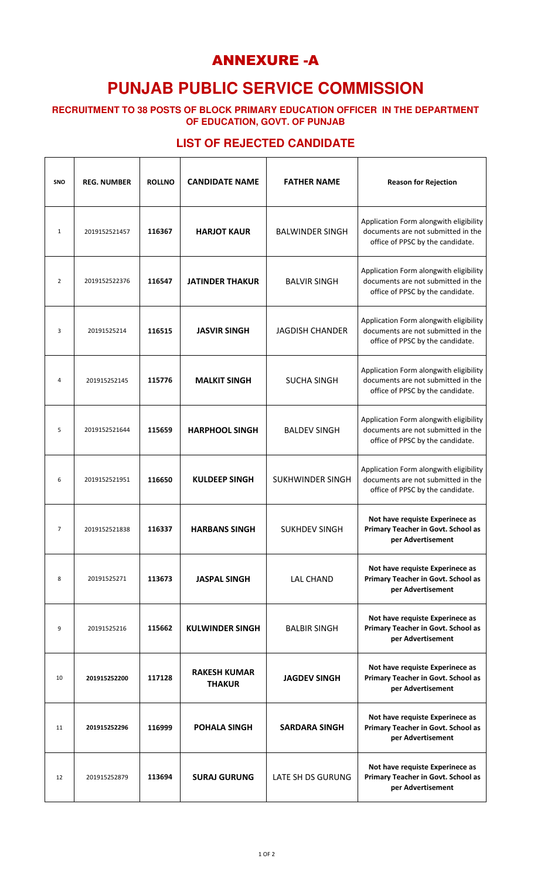## ANNEXURE -A

# **PUNJAB PUBLIC SERVICE COMMISSION**

**RECRUITMENT TO 38 POSTS OF BLOCK PRIMARY EDUCATION OFFICER IN THE DEPARTMENT OF EDUCATION, GOVT. OF PUNJAB**

#### **LIST OF REJECTED CANDIDATE**

 $\mathsf{r}$ 

| SNO            | <b>REG. NUMBER</b> | <b>ROLLNO</b> | <b>CANDIDATE NAME</b>                | <b>FATHER NAME</b>      | <b>Reason for Rejection</b>                                                                                      |
|----------------|--------------------|---------------|--------------------------------------|-------------------------|------------------------------------------------------------------------------------------------------------------|
| $\mathbf{1}$   | 2019152521457      | 116367        | <b>HARJOT KAUR</b>                   | <b>BALWINDER SINGH</b>  | Application Form alongwith eligibility<br>documents are not submitted in the<br>office of PPSC by the candidate. |
| $\overline{2}$ | 2019152522376      | 116547        | <b>JATINDER THAKUR</b>               | <b>BALVIR SINGH</b>     | Application Form alongwith eligibility<br>documents are not submitted in the<br>office of PPSC by the candidate. |
| 3              | 20191525214        | 116515        | <b>JASVIR SINGH</b>                  | <b>JAGDISH CHANDER</b>  | Application Form alongwith eligibility<br>documents are not submitted in the<br>office of PPSC by the candidate. |
| $\overline{4}$ | 201915252145       | 115776        | <b>MALKIT SINGH</b>                  | <b>SUCHA SINGH</b>      | Application Form alongwith eligibility<br>documents are not submitted in the<br>office of PPSC by the candidate. |
| 5              | 2019152521644      | 115659        | <b>HARPHOOL SINGH</b>                | <b>BALDEV SINGH</b>     | Application Form alongwith eligibility<br>documents are not submitted in the<br>office of PPSC by the candidate. |
| 6              | 2019152521951      | 116650        | <b>KULDEEP SINGH</b>                 | <b>SUKHWINDER SINGH</b> | Application Form alongwith eligibility<br>documents are not submitted in the<br>office of PPSC by the candidate. |
| $\overline{7}$ | 2019152521838      | 116337        | <b>HARBANS SINGH</b>                 | <b>SUKHDEV SINGH</b>    | Not have requiste Experinece as<br>Primary Teacher in Govt. School as<br>per Advertisement                       |
| 8              | 20191525271        | 113673        | <b>JASPAL SINGH</b>                  | <b>LAL CHAND</b>        | Not have requiste Experinece as<br>Primary Teacher in Govt. School as<br>per Advertisement                       |
| 9              | 20191525216        | 115662        | <b>KULWINDER SINGH</b>               | <b>BALBIR SINGH</b>     | Not have requiste Experinece as<br>Primary Teacher in Govt. School as<br>per Advertisement                       |
| 10             | 201915252200       | 117128        | <b>RAKESH KUMAR</b><br><b>THAKUR</b> | <b>JAGDEV SINGH</b>     | Not have requiste Experinece as<br>Primary Teacher in Govt. School as<br>per Advertisement                       |
| 11             | 201915252296       | 116999        | <b>POHALA SINGH</b>                  | <b>SARDARA SINGH</b>    | Not have requiste Experinece as<br>Primary Teacher in Govt. School as<br>per Advertisement                       |
| 12             | 201915252879       | 113694        | <b>SURAJ GURUNG</b>                  | LATE SH DS GURUNG       | Not have requiste Experinece as<br>Primary Teacher in Govt. School as<br>per Advertisement                       |